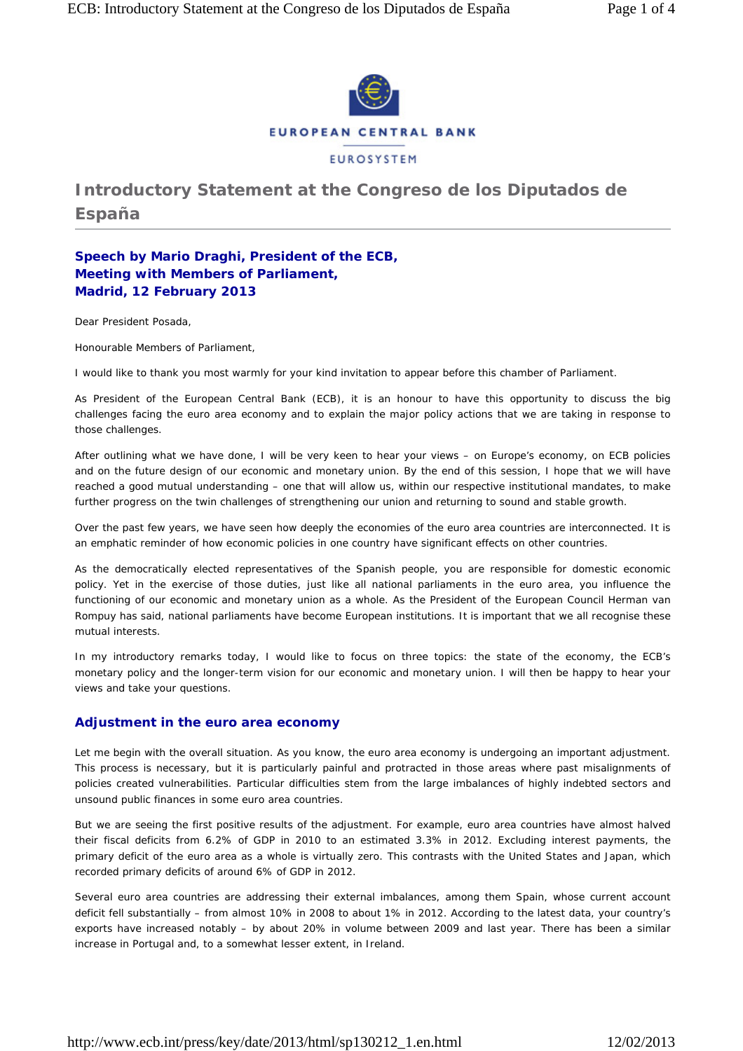

# **Introductory Statement at the Congreso de los Diputados de España**

## **Speech by Mario Draghi, President of the ECB, Meeting with Members of Parliament, Madrid, 12 February 2013**

Dear President Posada,

Honourable Members of Parliament,

I would like to thank you most warmly for your kind invitation to appear before this chamber of Parliament.

As President of the European Central Bank (ECB), it is an honour to have this opportunity to discuss the big challenges facing the euro area economy and to explain the major policy actions that we are taking in response to those challenges.

After outlining what we have done, I will be very keen to hear your views – on Europe's economy, on ECB policies and on the future design of our economic and monetary union. By the end of this session, I hope that we will have reached a good mutual understanding – one that will allow us, within our respective institutional mandates, to make further progress on the twin challenges of strengthening our union and returning to sound and stable growth.

Over the past few years, we have seen how deeply the economies of the euro area countries are interconnected. It is an emphatic reminder of how economic policies in one country have significant effects on other countries.

As the democratically elected representatives of the Spanish people, you are responsible for domestic economic policy. Yet in the exercise of those duties, just like all national parliaments in the euro area, you influence the functioning of our economic and monetary union as a whole. As the President of the European Council Herman van Rompuy has said, national parliaments have become European institutions. It is important that we all recognise these mutual interests.

In my introductory remarks today, I would like to focus on three topics: the state of the economy, the ECB's monetary policy and the longer-term vision for our economic and monetary union. I will then be happy to hear your views and take your questions.

### **Adjustment in the euro area economy**

Let me begin with the overall situation. As you know, the euro area economy is undergoing an important adjustment. This process is necessary, but it is particularly painful and protracted in those areas where past misalignments of policies created vulnerabilities. Particular difficulties stem from the large imbalances of highly indebted sectors and unsound public finances in some euro area countries.

But we are seeing the first positive results of the adjustment. For example, euro area countries have almost halved their fiscal deficits from 6.2% of GDP in 2010 to an estimated 3.3% in 2012. Excluding interest payments, the primary deficit of the euro area as a whole is virtually zero. This contrasts with the United States and Japan, which recorded primary deficits of around 6% of GDP in 2012.

Several euro area countries are addressing their external imbalances, among them Spain, whose current account deficit fell substantially – from almost 10% in 2008 to about 1% in 2012. According to the latest data, your country's exports have increased notably – by about 20% in volume between 2009 and last year. There has been a similar increase in Portugal and, to a somewhat lesser extent, in Ireland.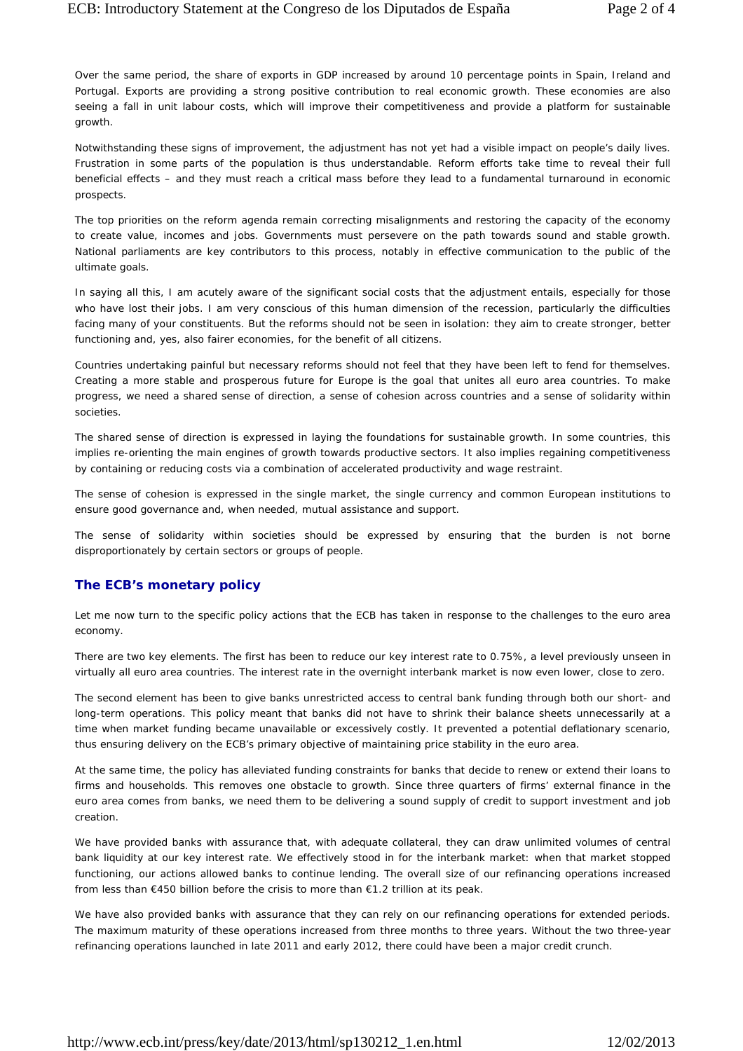Over the same period, the share of exports in GDP increased by around 10 percentage points in Spain, Ireland and Portugal. Exports are providing a strong positive contribution to real economic growth. These economies are also seeing a fall in unit labour costs, which will improve their competitiveness and provide a platform for sustainable growth.

Notwithstanding these signs of improvement, the adjustment has not yet had a visible impact on people's daily lives. Frustration in some parts of the population is thus understandable. Reform efforts take time to reveal their full beneficial effects – and they must reach a critical mass before they lead to a fundamental turnaround in economic prospects.

The top priorities on the reform agenda remain correcting misalignments and restoring the capacity of the economy to create value, incomes and jobs. Governments must persevere on the path towards sound and stable growth. National parliaments are key contributors to this process, notably in effective communication to the public of the ultimate goals.

In saying all this, I am acutely aware of the significant social costs that the adjustment entails, especially for those who have lost their jobs. I am very conscious of this human dimension of the recession, particularly the difficulties facing many of your constituents. But the reforms should not be seen in isolation: they aim to create stronger, better functioning and, yes, also fairer economies, for the benefit of all citizens.

Countries undertaking painful but necessary reforms should not feel that they have been left to fend for themselves. Creating a more stable and prosperous future for Europe is the goal that unites all euro area countries. To make progress, we need a shared sense of direction, a sense of cohesion across countries and a sense of solidarity within societies.

The shared sense of direction is expressed in laying the foundations for sustainable growth. In some countries, this implies re-orienting the main engines of growth towards productive sectors. It also implies regaining competitiveness by containing or reducing costs via a combination of accelerated productivity and wage restraint.

The sense of cohesion is expressed in the single market, the single currency and common European institutions to ensure good governance and, when needed, mutual assistance and support.

The sense of solidarity within societies should be expressed by ensuring that the burden is not borne disproportionately by certain sectors or groups of people.

## **The ECB's monetary policy**

Let me now turn to the specific policy actions that the ECB has taken in response to the challenges to the euro area economy.

There are two key elements. The first has been to reduce our key interest rate to 0.75%, a level previously unseen in virtually all euro area countries. The interest rate in the overnight interbank market is now even lower, close to zero.

The second element has been to give banks unrestricted access to central bank funding through both our short- and long-term operations. This policy meant that banks did not have to shrink their balance sheets unnecessarily at a time when market funding became unavailable or excessively costly. It prevented a potential deflationary scenario, thus ensuring delivery on the ECB's primary objective of maintaining price stability in the euro area.

At the same time, the policy has alleviated funding constraints for banks that decide to renew or extend their loans to firms and households. This removes one obstacle to growth. Since three quarters of firms' external finance in the euro area comes from banks, we need them to be delivering a sound supply of credit to support investment and job creation.

We have provided banks with assurance that, with adequate collateral, they can draw unlimited volumes of central bank liquidity at our key interest rate. We effectively stood in for the interbank market: when that market stopped functioning, our actions allowed banks to continue lending. The overall size of our refinancing operations increased from less than €450 billion before the crisis to more than €1.2 trillion at its peak.

We have also provided banks with assurance that they can rely on our refinancing operations for extended periods. The maximum maturity of these operations increased from three months to three years. Without the two three-year refinancing operations launched in late 2011 and early 2012, there could have been a major credit crunch.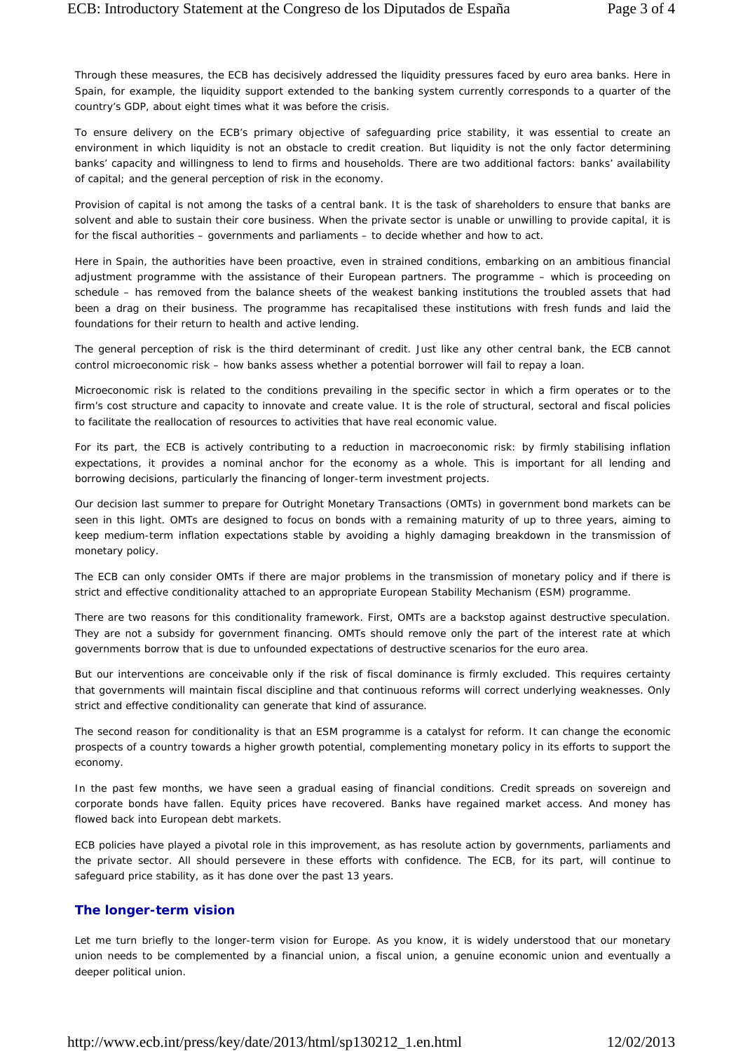Through these measures, the ECB has decisively addressed the liquidity pressures faced by euro area banks. Here in Spain, for example, the liquidity support extended to the banking system currently corresponds to a quarter of the country's GDP, about eight times what it was before the crisis.

To ensure delivery on the ECB's primary objective of safeguarding price stability, it was essential to create an environment in which liquidity is not an obstacle to credit creation. But liquidity is not the only factor determining banks' capacity and willingness to lend to firms and households. There are two additional factors: banks' availability of capital; and the general perception of risk in the economy.

Provision of capital is not among the tasks of a central bank. It is the task of shareholders to ensure that banks are solvent and able to sustain their core business. When the private sector is unable or unwilling to provide capital, it is for the fiscal authorities – governments and parliaments – to decide whether and how to act.

Here in Spain, the authorities have been proactive, even in strained conditions, embarking on an ambitious financial adjustment programme with the assistance of their European partners. The programme – which is proceeding on schedule – has removed from the balance sheets of the weakest banking institutions the troubled assets that had been a drag on their business. The programme has recapitalised these institutions with fresh funds and laid the foundations for their return to health and active lending.

The general perception of risk is the third determinant of credit. Just like any other central bank, the ECB cannot control *microeconomic* risk – how banks assess whether a potential borrower will fail to repay a loan.

Microeconomic risk is related to the conditions prevailing in the specific sector in which a firm operates or to the firm's cost structure and capacity to innovate and create value. It is the role of structural, sectoral and fiscal policies to facilitate the reallocation of resources to activities that have real economic value.

For its part, the ECB is actively contributing to a reduction in *macroeconomic* risk: by firmly stabilising inflation expectations, it provides a nominal anchor for the economy as a whole. This is important for all lending and borrowing decisions, particularly the financing of longer-term investment projects.

Our decision last summer to prepare for Outright Monetary Transactions (OMTs) in government bond markets can be seen in this light. OMTs are designed to focus on bonds with a remaining maturity of up to three years, aiming to keep medium-term inflation expectations stable by avoiding a highly damaging breakdown in the transmission of monetary policy.

The ECB can only consider OMTs if there are major problems in the transmission of monetary policy and if there is strict and effective conditionality attached to an appropriate European Stability Mechanism (ESM) programme.

There are two reasons for this conditionality framework. First, OMTs are a backstop against destructive speculation. They are not a subsidy for government financing. OMTs should remove only the part of the interest rate at which governments borrow that is due to unfounded expectations of destructive scenarios for the euro area.

But our interventions are conceivable only if the risk of fiscal dominance is firmly excluded. This requires certainty that governments will maintain fiscal discipline and that continuous reforms will correct underlying weaknesses. Only strict and effective conditionality can generate that kind of assurance.

The second reason for conditionality is that an ESM programme is a catalyst for reform. It can change the economic prospects of a country towards a higher growth potential, complementing monetary policy in its efforts to support the economy.

In the past few months, we have seen a gradual easing of financial conditions. Credit spreads on sovereign and corporate bonds have fallen. Equity prices have recovered. Banks have regained market access. And money has flowed back into European debt markets.

ECB policies have played a pivotal role in this improvement, as has resolute action by governments, parliaments and the private sector. All should persevere in these efforts with confidence. The ECB, for its part, will continue to safeguard price stability, as it has done over the past 13 years.

### **The longer-term vision**

Let me turn briefly to the longer-term vision for Europe. As you know, it is widely understood that our monetary union needs to be complemented by a financial union, a fiscal union, a genuine economic union and eventually a deeper political union.